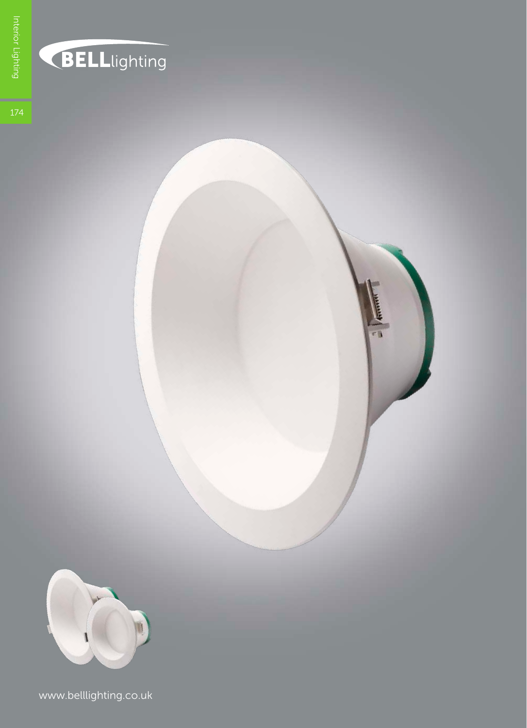

## **BELL**lighting



www.belllighting.co.uk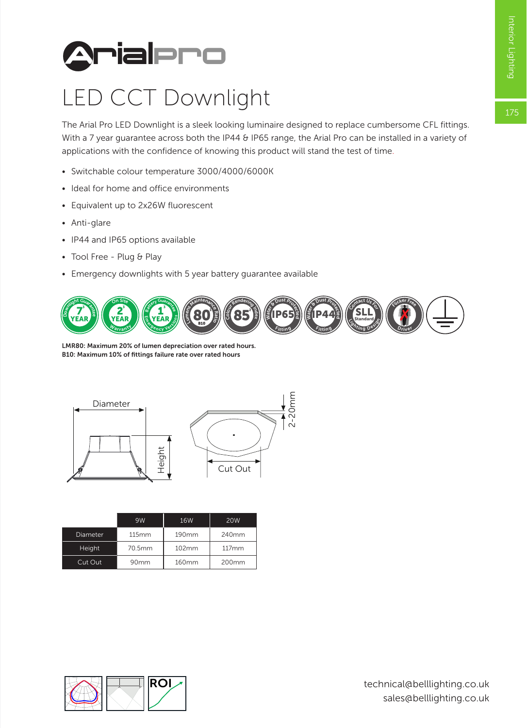175



## LED CCT Downlight

The Arial Pro LED Downlight is a sleek looking luminaire designed to replace cumbersome CFL fittings. With a 7 year guarantee across both the IP44 & IP65 range, the Arial Pro can be installed in a variety of applications with the confidence of knowing this product will stand the test of time.

- Switchable colour temperature 3000/4000/6000K
- Ideal for home and office environments
- Equivalent up to 2x26W fluorescent
- Anti-glare
- IP44 and IP65 options available
- Tool Free Plug & Play
- Emergency downlights with 5 year battery guarantee available



LMR80: Maximum 20% of lumen depreciation over rated hours. B10: Maximum 10% of fittings failure rate over rated hours



|          | Height       |            | Cut Out    |
|----------|--------------|------------|------------|
|          | 9W           | <b>16W</b> | <b>20W</b> |
| Diameter | <b>115mm</b> | 190mm      | 240mm      |
| Height   | 70.5mm       | 102mm      | 117mm      |
| Cut Out  | 90mm         | 160mm      | 200mm      |

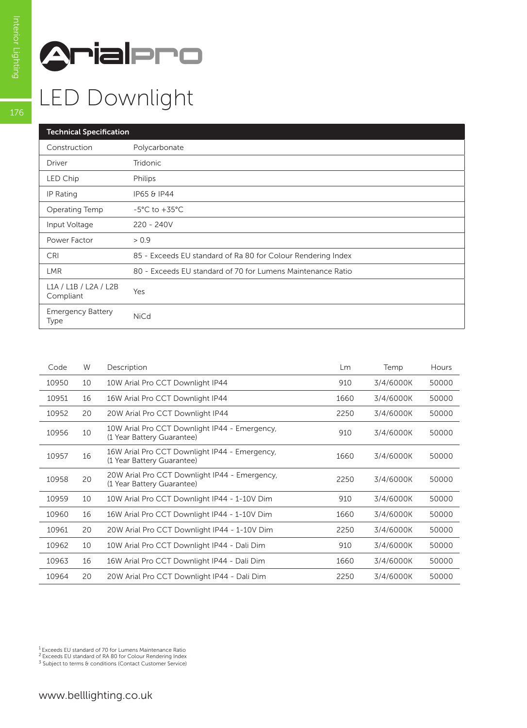

## LED Downlight

| <b>Technical Specification</b>     |                                                              |  |  |  |
|------------------------------------|--------------------------------------------------------------|--|--|--|
| Construction                       | Polycarbonate                                                |  |  |  |
| Driver                             | Tridonic                                                     |  |  |  |
| LED Chip                           | Philips                                                      |  |  |  |
| IP Rating                          | IP65 & IP44                                                  |  |  |  |
| Operating Temp                     | $-5^{\circ}$ C to $+35^{\circ}$ C                            |  |  |  |
| Input Voltage                      | $220 - 240V$                                                 |  |  |  |
| Power Factor                       | > 0.9                                                        |  |  |  |
| <b>CRI</b>                         | 85 - Exceeds EU standard of Ra 80 for Colour Rendering Index |  |  |  |
| <b>LMR</b>                         | 80 - Exceeds EU standard of 70 for Lumens Maintenance Ratio  |  |  |  |
| L1A / L1B / L2A / L2B<br>Compliant | Yes                                                          |  |  |  |
| <b>Emergency Battery</b><br>Type   | <b>NiCd</b>                                                  |  |  |  |

| Code  | W  | Description                                                                 | <b>Lm</b> | Temp      | Hours |
|-------|----|-----------------------------------------------------------------------------|-----------|-----------|-------|
| 10950 | 10 | 10W Arial Pro CCT Downlight IP44                                            | 910       | 3/4/6000K | 50000 |
| 10951 | 16 | 16W Arial Pro CCT Downlight IP44                                            | 1660      | 3/4/6000K | 50000 |
| 10952 | 20 | 20W Arial Pro CCT Downlight IP44                                            | 2250      | 3/4/6000K | 50000 |
| 10956 | 10 | 10W Arial Pro CCT Downlight IP44 - Emergency,<br>(1 Year Battery Guarantee) | 910       | 3/4/6000K | 50000 |
| 10957 | 16 | 16W Arial Pro CCT Downlight IP44 - Emergency,<br>(1 Year Battery Guarantee) | 1660      | 3/4/6000K | 50000 |
| 10958 | 20 | 20W Arial Pro CCT Downlight IP44 - Emergency,<br>(1 Year Battery Guarantee) | 2250      | 3/4/6000K | 50000 |
| 10959 | 10 | 10W Arial Pro CCT Downlight IP44 - 1-10V Dim                                | 910       | 3/4/6000K | 50000 |
| 10960 | 16 | 16W Arial Pro CCT Downlight IP44 - 1-10V Dim                                | 1660      | 3/4/6000K | 50000 |
| 10961 | 20 | 20W Arial Pro CCT Downlight IP44 - 1-10V Dim                                | 2250      | 3/4/6000K | 50000 |
| 10962 | 10 | 10W Arial Pro CCT Downlight IP44 - Dali Dim                                 | 910       | 3/4/6000K | 50000 |
| 10963 | 16 | 16W Arial Pro CCT Downlight IP44 - Dali Dim                                 | 1660      | 3/4/6000K | 50000 |
| 10964 | 20 | 20W Arial Pro CCT Downlight IP44 - Dali Dim                                 | 2250      | 3/4/6000K | 50000 |
|       |    |                                                                             |           |           |       |

<sup>1</sup> Exceeds EU standard of 70 for Lumens Maintenance Ratio<br><sup>2</sup> Exceeds EU standard of RA 80 for Colour Rendering Index<br><sup>3</sup> Subject to terms & conditions (Contact Customer Service)